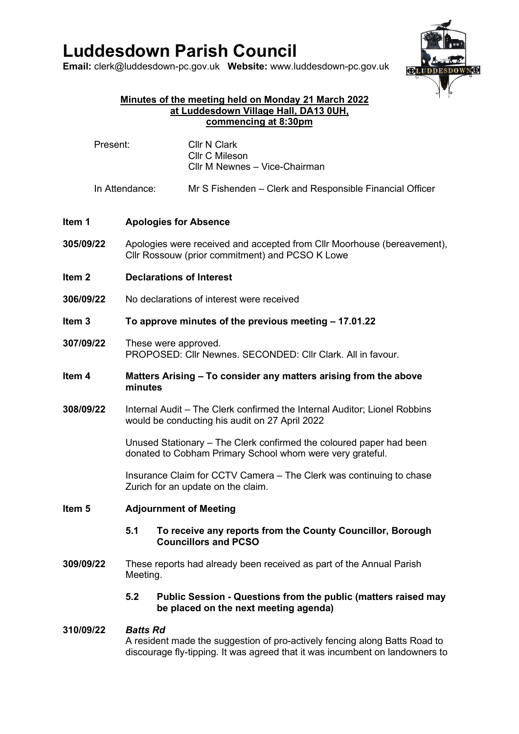# **Luddesdown Parish Council**

**Email:** [clerk@luddesdown-pc.gov.uk](mailto:clerk@luddesdown-pc.gov.uk) **Website:** www.luddesdown-pc.gov.uk



#### **Minutes of the meeting held on Monday 21 March 2022 at Luddesdown Village Hall, DA13 0UH, commencing at 8:30pm**

| Present:          |                | <b>Cllr N Clark</b><br><b>CIIr C Mileson</b><br>Cllr M Newnes - Vice-Chairman                                                    |  |  |
|-------------------|----------------|----------------------------------------------------------------------------------------------------------------------------------|--|--|
|                   | In Attendance: | Mr S Fishenden – Clerk and Responsible Financial Officer                                                                         |  |  |
| Item 1            |                | <b>Apologies for Absence</b>                                                                                                     |  |  |
| 305/09/22         |                | Apologies were received and accepted from Cllr Moorhouse (bereavement),<br>Cllr Rossouw (prior commitment) and PCSO K Lowe       |  |  |
| Item <sub>2</sub> |                | <b>Declarations of Interest</b>                                                                                                  |  |  |
| 306/09/22         |                | No declarations of interest were received                                                                                        |  |  |
| Item 3            |                | To approve minutes of the previous meeting – 17.01.22                                                                            |  |  |
| 307/09/22         |                | These were approved.<br>PROPOSED: Cllr Newnes, SECONDED: Cllr Clark, All in favour.                                              |  |  |
| Item <sub>4</sub> |                | Matters Arising – To consider any matters arising from the above<br>minutes                                                      |  |  |
| 308/09/22         |                | Internal Audit – The Clerk confirmed the Internal Auditor; Lionel Robbins<br>would be conducting his audit on 27 April 2022      |  |  |
|                   |                | Unused Stationary – The Clerk confirmed the coloured paper had been<br>donated to Cobham Primary School whom were very grateful. |  |  |
|                   |                | Insurance Claim for CCTV Camera – The Clerk was continuing to chase<br>Zurich for an update on the claim.                        |  |  |
| Item <sub>5</sub> |                | <b>Adjournment of Meeting</b>                                                                                                    |  |  |
|                   | 5.1            | To receive any reports from the County Councillor, Borough<br><b>Councillors and PCSO</b>                                        |  |  |
| 309/09/22         |                | These reports had already been received as part of the Annual Parish<br>Meeting.                                                 |  |  |
|                   | 5.2            | Public Session - Questions from the public (matters raised may<br>be placed on the next meeting agenda)                          |  |  |
| 310/09/22         |                | <b>Batts Rd</b><br>A resident made the supposition of pro-actively fencing along Ratts Road to                                   |  |  |

A resident made the suggestion of pro-actively fencing along Batts Road to discourage fly-tipping. It was agreed that it was incumbent on landowners to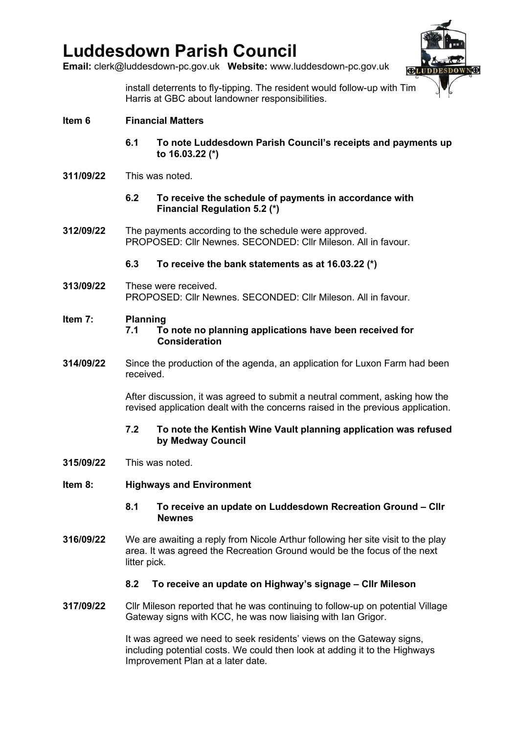## **Luddesdown Parish Council**

**Email:** [clerk@luddesdown-pc.gov.uk](mailto:clerk@luddesdown-pc.gov.uk) **Website:** www.luddesdown-pc.gov.uk



install deterrents to fly-tipping. The resident would follow-up with Tim Harris at GBC about landowner responsibilities.

- **6.1 To note Luddesdown Parish Council's receipts and payments up to 16.03.22 (\*)**
- **311/09/22** This was noted.
	- **6.2 To receive the schedule of payments in accordance with Financial Regulation 5.2 (\*)**
- **312/09/22** The payments according to the schedule were approved. PROPOSED: Cllr Newnes. SECONDED: Cllr Mileson. All in favour.

## **6.3 To receive the bank statements as at 16.03.22 (\*)**

**313/09/22** These were received. PROPOSED: Cllr Newnes. SECONDED: Cllr Mileson. All in favour.

#### **Item 7: Planning**

- **7.1 To note no planning applications have been received for Consideration**
- **314/09/22** Since the production of the agenda, an application for Luxon Farm had been received.

After discussion, it was agreed to submit a neutral comment, asking how the revised application dealt with the concerns raised in the previous application.

- **7.2 To note the Kentish Wine Vault planning application was refused by Medway Council**
- **315/09/22** This was noted.
- **Item 8: Highways and Environment**
	- **8.1 To receive an update on Luddesdown Recreation Ground – Cllr Newnes**
- **316/09/22** We are awaiting a reply from Nicole Arthur following her site visit to the play area. It was agreed the Recreation Ground would be the focus of the next litter pick.

### **8.2 To receive an update on Highway's signage – Cllr Mileson**

**317/09/22** Cllr Mileson reported that he was continuing to follow-up on potential Village Gateway signs with KCC, he was now liaising with Ian Grigor.

> It was agreed we need to seek residents' views on the Gateway signs, including potential costs. We could then look at adding it to the Highways Improvement Plan at a later date.